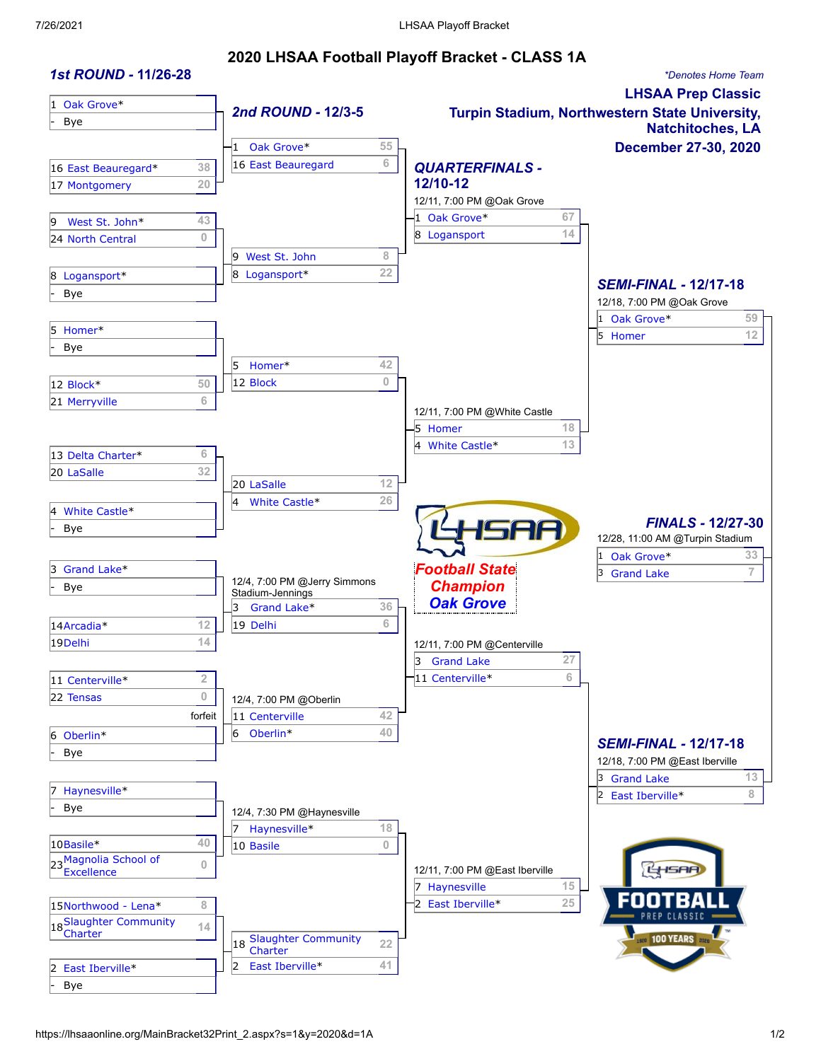### **2020 LHSAA Football Playoff Bracket - CLASS 1A**

| <b>1st ROUND - 11/26-28</b>             |                  |                                  |                                    | *Denotes Home Team                              |
|-----------------------------------------|------------------|----------------------------------|------------------------------------|-------------------------------------------------|
| 1 Oak Grove*                            |                  |                                  |                                    | <b>LHSAA Prep Classic</b>                       |
| Bye                                     |                  | 2nd ROUND - 12/3-5               |                                    | Turpin Stadium, Northwestern State University,  |
|                                         |                  | Oak Grove*<br>55                 |                                    | <b>Natchitoches, LA</b><br>December 27-30, 2020 |
|                                         |                  | 6<br>16 East Beauregard          |                                    |                                                 |
| 16 East Beauregard*                     | 38<br>20         |                                  | <b>QUARTERFINALS -</b><br>12/10-12 |                                                 |
| 17 Montgomery                           |                  |                                  | 12/11, 7:00 PM @Oak Grove          |                                                 |
|                                         | 43               |                                  | 1 Oak Grove*<br>67                 |                                                 |
| West St. John*<br>9<br>24 North Central | $\bf 0$          |                                  | 14<br>8 Logansport                 |                                                 |
|                                         |                  | West St. John<br>8<br>19         |                                    |                                                 |
| 8 Logansport*                           |                  | 22<br>8 Logansport*              |                                    |                                                 |
| Bye                                     |                  |                                  |                                    | <b>SEMI-FINAL - 12/17-18</b>                    |
|                                         |                  |                                  |                                    | 12/18, 7:00 PM @Oak Grove                       |
| 5 Homer*                                |                  |                                  |                                    | 59<br>1 Oak Grove*                              |
| <b>Bye</b>                              |                  |                                  |                                    | 12<br>5 Homer                                   |
|                                         |                  | 42<br>5<br>Homer*                |                                    |                                                 |
| 12 Block*                               | 50               | $\bf{0}$<br>12 Block             |                                    |                                                 |
| 21 Merryville                           | 6                |                                  |                                    |                                                 |
|                                         |                  |                                  | 12/11, 7:00 PM @White Castle       |                                                 |
|                                         |                  |                                  | $-5$ Homer<br>18                   |                                                 |
| 13 Delta Charter*                       | 6                |                                  | 13<br>White Castle*<br>4           |                                                 |
| 20 LaSalle                              | 32               |                                  |                                    |                                                 |
|                                         |                  | 12<br>20 LaSalle                 |                                    |                                                 |
| White Castle*                           |                  | 26<br>White Castle*<br>14        |                                    |                                                 |
| Bye                                     |                  |                                  | SAA                                | <b>FINALS - 12/27-30</b>                        |
|                                         |                  |                                  |                                    | 12/28, 11:00 AM @Turpin Stadium                 |
|                                         |                  |                                  |                                    | 33<br>Oak Grove*<br>1                           |
| Grand Lake*<br>13.                      |                  | 12/4, 7:00 PM @Jerry Simmons     | <b>Football State</b>              | $\overline{7}$<br>13<br><b>Grand Lake</b>       |
| <b>Bye</b>                              |                  | Stadium-Jennings                 | <b>Champion</b>                    |                                                 |
|                                         |                  | 36<br>3<br>Grand Lake*           | <b>Oak Grove</b>                   |                                                 |
| 14Arcadia*                              | 12               | 6<br>19 Delhi                    |                                    |                                                 |
| 19Delhi                                 | 14               |                                  | 12/11, 7:00 PM @Centerville        |                                                 |
|                                         |                  |                                  | 27<br>3<br><b>Grand Lake</b>       |                                                 |
| 11 Centerville*                         | 2                |                                  | 6<br>11 Centerville*               |                                                 |
| 22 Tensas                               | $\boldsymbol{0}$ | 12/4, 7:00 PM @Oberlin           |                                    |                                                 |
|                                         | forfeit          | 42<br>11 Centerville             |                                    |                                                 |
| 6 Oberlin*                              |                  | 40<br>Oberlin <sup>*</sup><br>6  |                                    | <b>SEMI-FINAL - 12/17-18</b>                    |
| Bye                                     |                  |                                  |                                    | 12/18, 7:00 PM @East Iberville                  |
|                                         |                  |                                  |                                    | 13<br>3 Grand Lake                              |
| Haynesville*                            |                  |                                  |                                    | 8<br>2 East Iberville*                          |
| <b>Bye</b>                              |                  | 12/4, 7:30 PM @Haynesville       |                                    |                                                 |
|                                         |                  | 17<br>18<br>Haynesville*         |                                    |                                                 |
| 10Basile*                               | 40               | $\overline{0}$<br>10 Basile      |                                    |                                                 |
| 23 Magnolia School of                   | $\mathbf{0}$     |                                  | 12/11, 7:00 PM @East Iberville     |                                                 |
|                                         |                  |                                  | 15<br>Haynesville                  |                                                 |
| 15Northwood - Lena*                     | 8                |                                  | 25<br>East Iberville*              |                                                 |
| 18 Slaughter Community                  | 14               |                                  |                                    |                                                 |
| Charter                                 |                  | 18 Slaughter Community<br>22     |                                    | <b>SED</b> 100 YEARS <b>202</b>                 |
|                                         |                  | Charter<br>41<br>East Iberville* |                                    |                                                 |
| East Iberville*                         |                  | 2                                |                                    |                                                 |
| <b>Bye</b>                              |                  |                                  |                                    |                                                 |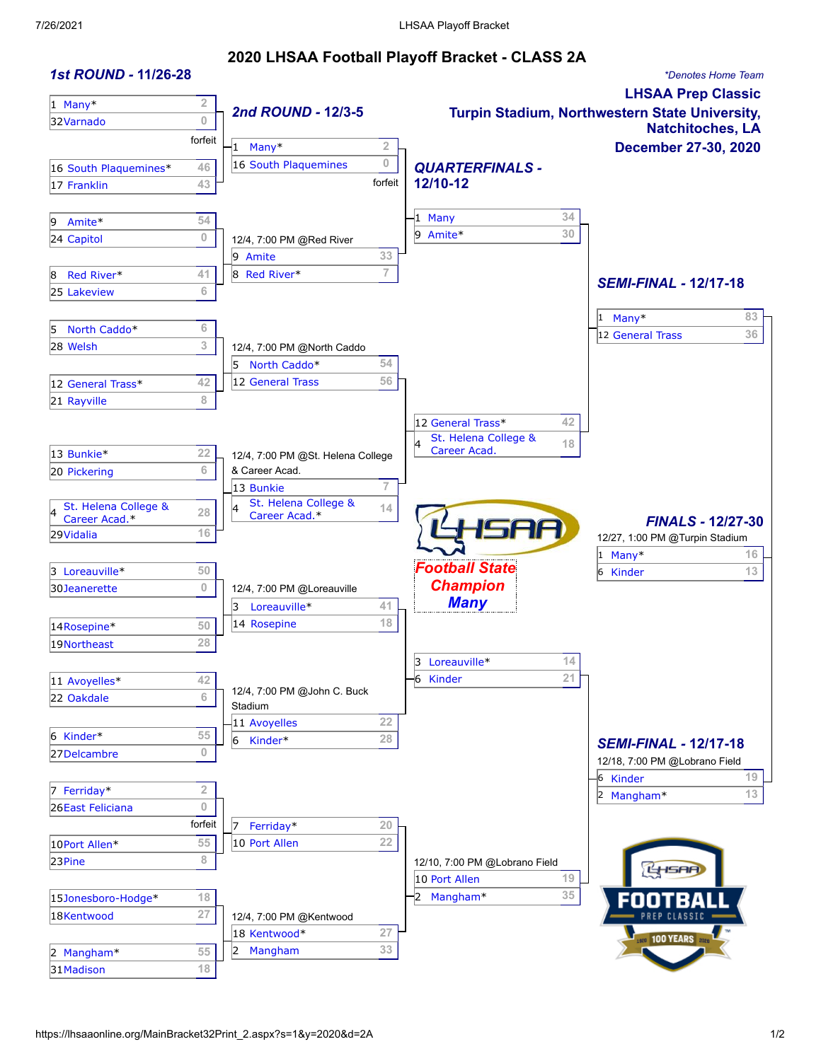### **2020 LHSAA Football Playoff Bracket - CLASS 2A**

| <b>1st ROUND - 11/26-28</b> |                         |                                                     |                     |                                               | *Denotes Home Team                             |
|-----------------------------|-------------------------|-----------------------------------------------------|---------------------|-----------------------------------------------|------------------------------------------------|
| $1$ Many*                   | $\overline{\mathbf{2}}$ |                                                     |                     |                                               | <b>LHSAA Prep Classic</b>                      |
| 32Varnado                   | $\overline{0}$          | 2nd ROUND - 12/3-5                                  |                     |                                               | Turpin Stadium, Northwestern State University, |
|                             | forfeit                 |                                                     |                     |                                               | <b>Natchitoches, LA</b>                        |
|                             |                         | Many*<br>16 South Plaquemines                       | 2<br>$\overline{0}$ |                                               | December 27-30, 2020                           |
| 16 South Plaquemines*       | 46                      |                                                     | forfeit             | <b>QUARTERFINALS -</b><br>12/10-12            |                                                |
| 17 Franklin                 | 43                      |                                                     |                     |                                               |                                                |
| Amite*<br>9                 | 54                      |                                                     |                     | 34<br>$1$ Many                                |                                                |
| 24 Capitol                  | 0                       | 12/4, 7:00 PM @Red River                            |                     | 30<br>Amite*<br>o                             |                                                |
|                             |                         | 9 Amite                                             | 33                  |                                               |                                                |
| Red River*<br>8             | 41                      | 8 Red River*                                        | $\overline{7}$      |                                               |                                                |
| 25 Lakeview                 | 6                       |                                                     |                     |                                               | <b>SEMI-FINAL - 12/17-18</b>                   |
|                             |                         |                                                     |                     |                                               | 83<br>Many*<br>1                               |
| North Caddo*<br>5           | 6                       |                                                     |                     |                                               | 36<br>12 General Trass                         |
| 28 Welsh                    | 3                       | 12/4, 7:00 PM @North Caddo                          |                     |                                               |                                                |
|                             |                         | 5 North Caddo*                                      | 54                  |                                               |                                                |
| 12 General Trass*           | 42                      | 12 General Trass                                    | 56                  |                                               |                                                |
| 21 Rayville                 | 8                       |                                                     |                     |                                               |                                                |
|                             |                         |                                                     |                     | 42<br>12 General Trass*                       |                                                |
| 13 Bunkie*                  | 22                      |                                                     |                     | St. Helena College &<br>18<br>Career Acad.    |                                                |
| 20 Pickering                | 6                       | 12/4, 7:00 PM @St. Helena College<br>& Career Acad. |                     |                                               |                                                |
|                             |                         | 13 Bunkie                                           | $\overline{7}$      |                                               |                                                |
| St. Helena College &        |                         | St. Helena College &                                | 14                  |                                               |                                                |
| Career Acad.*               | 28                      | Career Acad.*                                       |                     |                                               | <b>FINALS - 12/27-30</b>                       |
| 29Vidalia                   | 16                      |                                                     |                     | SAA                                           | 12/27, 1:00 PM @Turpin Stadium                 |
|                             |                         |                                                     |                     |                                               | $1$ Many*<br>16                                |
| 3 Loreauville*              | 50                      |                                                     |                     | <b>Football State</b>                         | 13<br>6<br>Kinder                              |
| 30 Jeanerette               | 0                       | 12/4, 7:00 PM @Loreauville                          |                     | <b>Champion</b><br><b>Many</b>                |                                                |
|                             |                         | Loreauville*<br>3                                   | 41<br>18            |                                               |                                                |
| 14Rosepine*                 | 50                      | 14 Rosepine                                         |                     |                                               |                                                |
| 19Northeast                 | 28                      |                                                     |                     |                                               |                                                |
|                             |                         |                                                     |                     | 14<br>Loreauville*<br>3<br>21<br>-6<br>Kinder |                                                |
| 11 Avoyelles*<br>22 Oakdale | 42<br>6                 | 12/4, 7:00 PM @John C. Buck                         |                     |                                               |                                                |
|                             |                         | Stadium                                             |                     |                                               |                                                |
| 6 Kinder*                   | 55                      | 11 Avoyelles                                        | 22                  |                                               |                                                |
| 27Delcambre                 | $\mathbf{0}$            | Kinder*<br>6                                        | 28                  |                                               | <b>SEMI-FINAL - 12/17-18</b>                   |
|                             |                         |                                                     |                     |                                               | 12/18, 7:00 PM @Lobrano Field                  |
| Ferriday*                   | $\overline{2}$          |                                                     |                     |                                               | 19<br>-6 Kinder                                |
| 26East Feliciana            | $\overline{0}$          |                                                     |                     |                                               | $13\,$<br>2 Mangham*                           |
|                             | forfeit                 | Ferriday*<br>17                                     | 20                  |                                               |                                                |
| 10Port Allen*               | 55                      | 10 Port Allen                                       | 22                  |                                               |                                                |
| 23Pine                      | 8                       |                                                     |                     | 12/10, 7:00 PM @Lobrano Field                 |                                                |
|                             |                         |                                                     |                     | $19$<br>10 Port Allen                         |                                                |
| 15Jonesboro-Hodge*          | $18$                    |                                                     |                     | 35<br>Mangham*                                |                                                |
| 18Kentwood                  | 27                      | 12/4, 7:00 PM @Kentwood                             |                     |                                               |                                                |
|                             |                         | 18 Kentwood*                                        | 27                  |                                               | <b>1820 100 YEARS 202</b>                      |
| 2 Mangham*                  | 55                      | Mangham                                             | 33                  |                                               |                                                |
| 31 Madison                  | 18                      |                                                     |                     |                                               |                                                |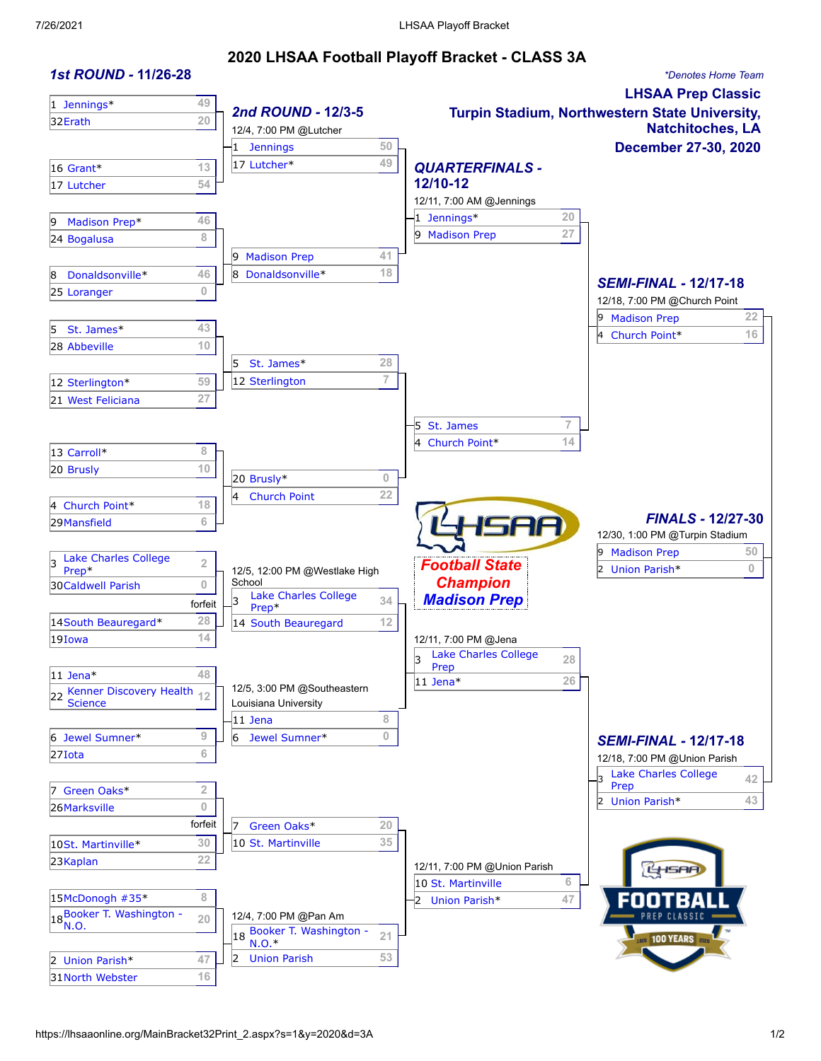### **2020 LHSAA Football Playoff Bracket - CLASS 3A**

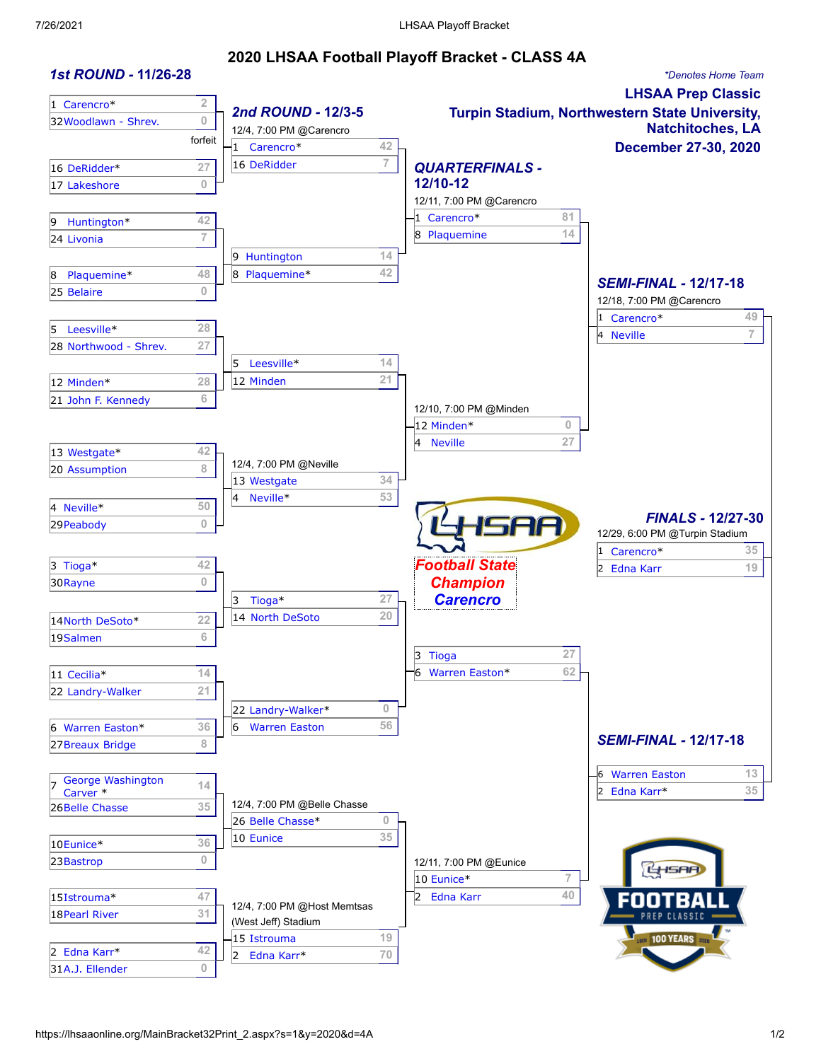### **2020 LHSAA Football Playoff Bracket - CLASS 4A**

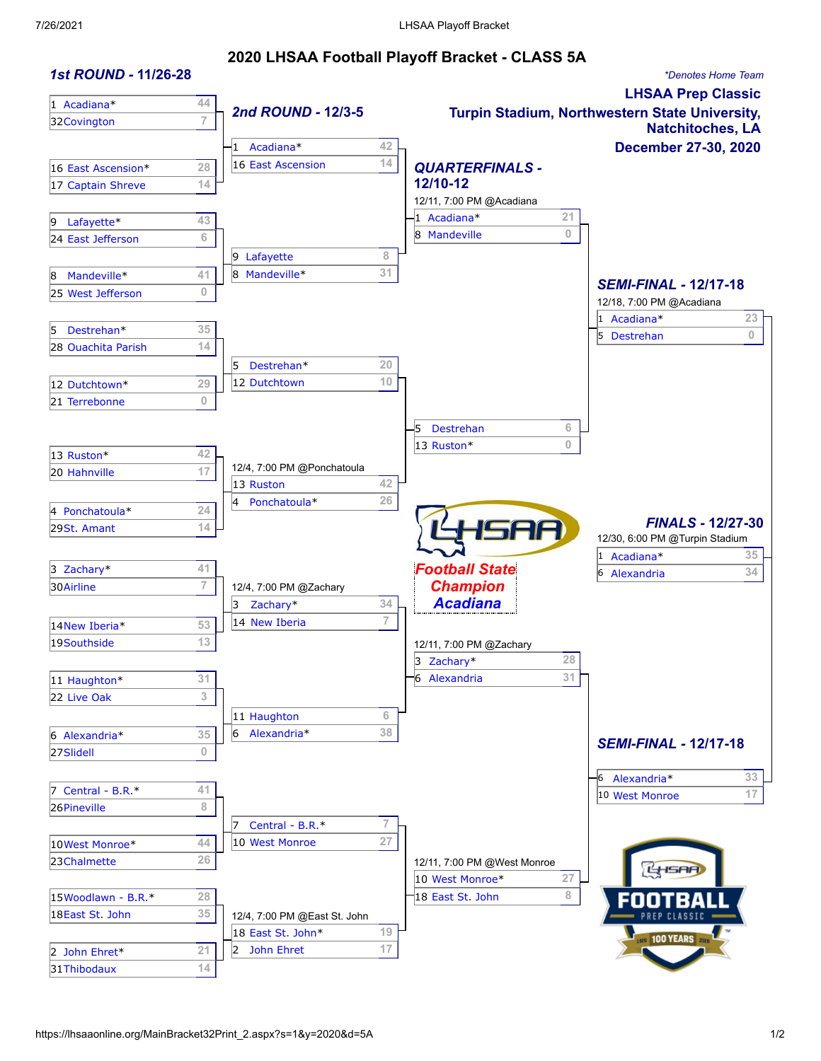#### **2020 LHSAA Football Playoff Bracket - CLASS 5A**

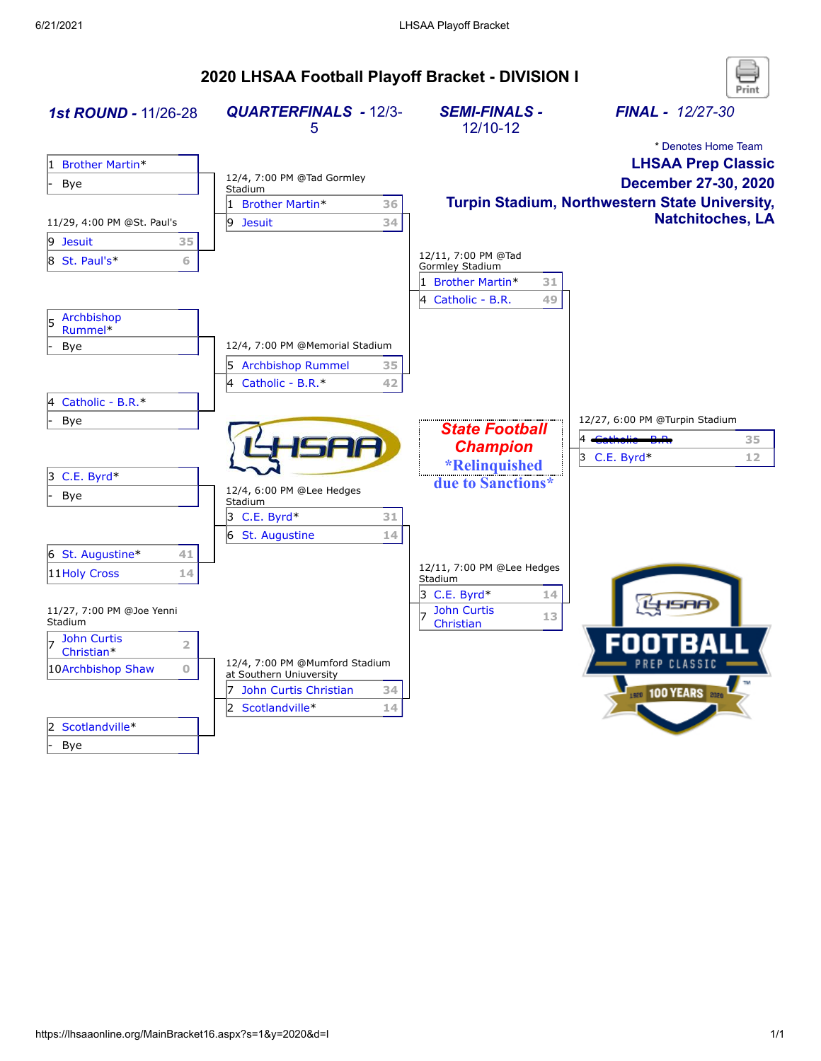# **2020 LHSAA Football Playoff Bracket - DIVISION I**

| 1st ROUND - 11/26-28                               | <b>QUARTERFINALS - 12/3-</b><br>5     | <b>SEMI-FINALS -</b><br>12/10-12           | <b>FINAL - 12/27-30</b>                               |
|----------------------------------------------------|---------------------------------------|--------------------------------------------|-------------------------------------------------------|
|                                                    |                                       |                                            | * Denotes Home Team                                   |
| <b>Brother Martin*</b><br>1                        |                                       |                                            | <b>LHSAA Prep Classic</b>                             |
| <b>Bye</b>                                         | 12/4, 7:00 PM @Tad Gormley<br>Stadium |                                            | December 27-30, 2020                                  |
|                                                    | 1 Brother Martin*<br>36               |                                            | <b>Turpin Stadium, Northwestern State University,</b> |
| 11/29, 4:00 PM @St. Paul's                         | 9 Jesuit<br>34                        |                                            | <b>Natchitoches, LA</b>                               |
| $ 9$ Jesuit<br>35                                  |                                       |                                            |                                                       |
| 8 St. Paul's*<br>6                                 |                                       | 12/11, 7:00 PM @Tad                        |                                                       |
|                                                    |                                       | Gormley Stadium<br>1 Brother Martin*<br>31 |                                                       |
|                                                    |                                       | 4<br>Catholic - B.R.<br>49                 |                                                       |
| Archbishop<br>l5<br>Rummel*                        |                                       |                                            |                                                       |
| Bye                                                | 12/4, 7:00 PM @Memorial Stadium       |                                            |                                                       |
|                                                    | 5 Archbishop Rummel<br>35             |                                            |                                                       |
|                                                    | 4 Catholic - B.R.*<br>42              |                                            |                                                       |
| Catholic - B.R.*<br>14                             |                                       |                                            |                                                       |
| <b>Bye</b>                                         |                                       |                                            | 12/27, 6:00 PM @Turpin Stadium                        |
|                                                    |                                       | <b>State Football</b>                      | 35                                                    |
|                                                    |                                       | <b>Champion</b>                            | $3$ C.E. Byrd*<br>12                                  |
| $3$ C.E. Byrd*                                     |                                       | *Relinquished                              |                                                       |
| Bye                                                | 12/4, 6:00 PM @Lee Hedges<br>Stadium  | due to Sanctions*                          |                                                       |
|                                                    | 3 C.E. Byrd $*$<br>31                 |                                            |                                                       |
|                                                    | 6 St. Augustine<br>14                 |                                            |                                                       |
| 6 St. Augustine*<br>41                             |                                       |                                            |                                                       |
| 11 Holy Cross<br>14                                |                                       | 12/11, 7:00 PM @Lee Hedges<br>Stadium      |                                                       |
|                                                    |                                       | $3$ C.E. Byrd*<br>14                       |                                                       |
| 11/27, 7:00 PM @Joe Yenni<br>Stadium               |                                       | <b>John Curtis</b><br>13<br>Christian      |                                                       |
| <b>John Curtis</b><br>$\overline{2}$<br>Christian* |                                       |                                            |                                                       |
| $\mathbf{O}$<br>10Archbishop Shaw                  | 12/4, 7:00 PM @Mumford Stadium        |                                            |                                                       |
|                                                    | at Southern Uniuversity               |                                            |                                                       |
|                                                    | 7 John Curtis Christian<br>34         |                                            | <b>1520 100 YEARS</b> 2020                            |
|                                                    | 2 Scotlandville*<br>14                |                                            |                                                       |
| Scotlandville*                                     |                                       |                                            |                                                       |
| Bye                                                |                                       |                                            |                                                       |

Print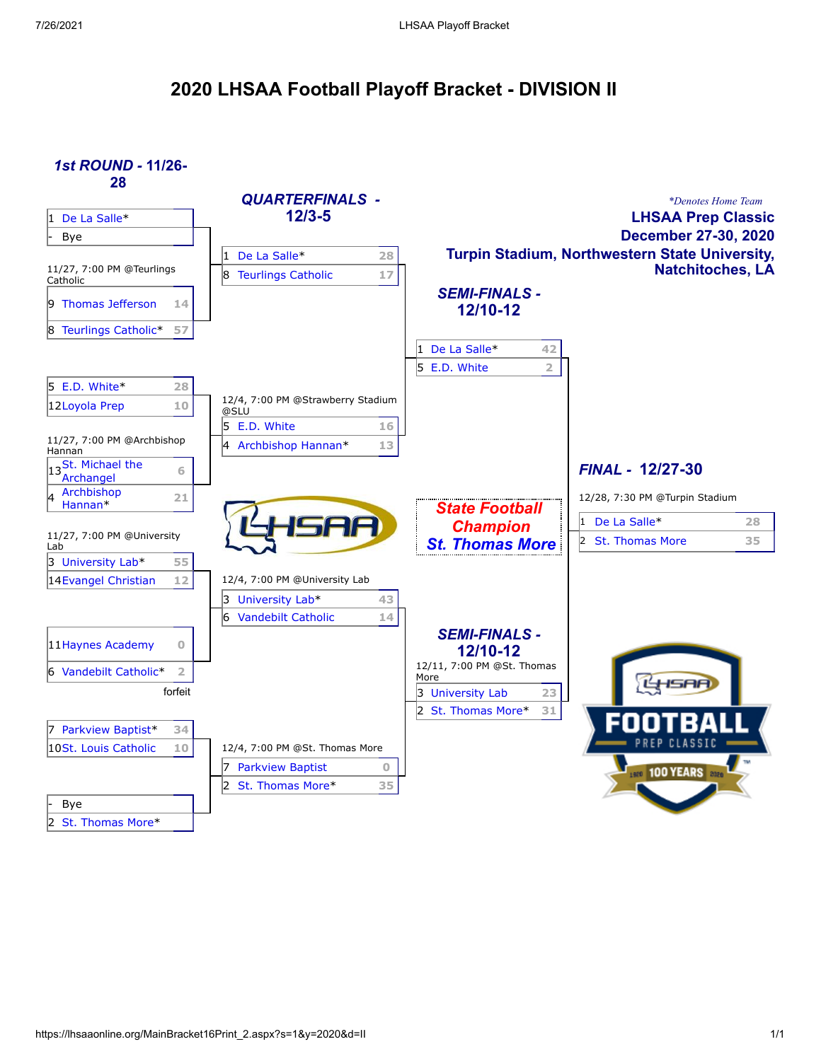## **2020 LHSAA Football Playoff Bracket - DIVISION II**

*1st ROUND -* **11/26- 28**

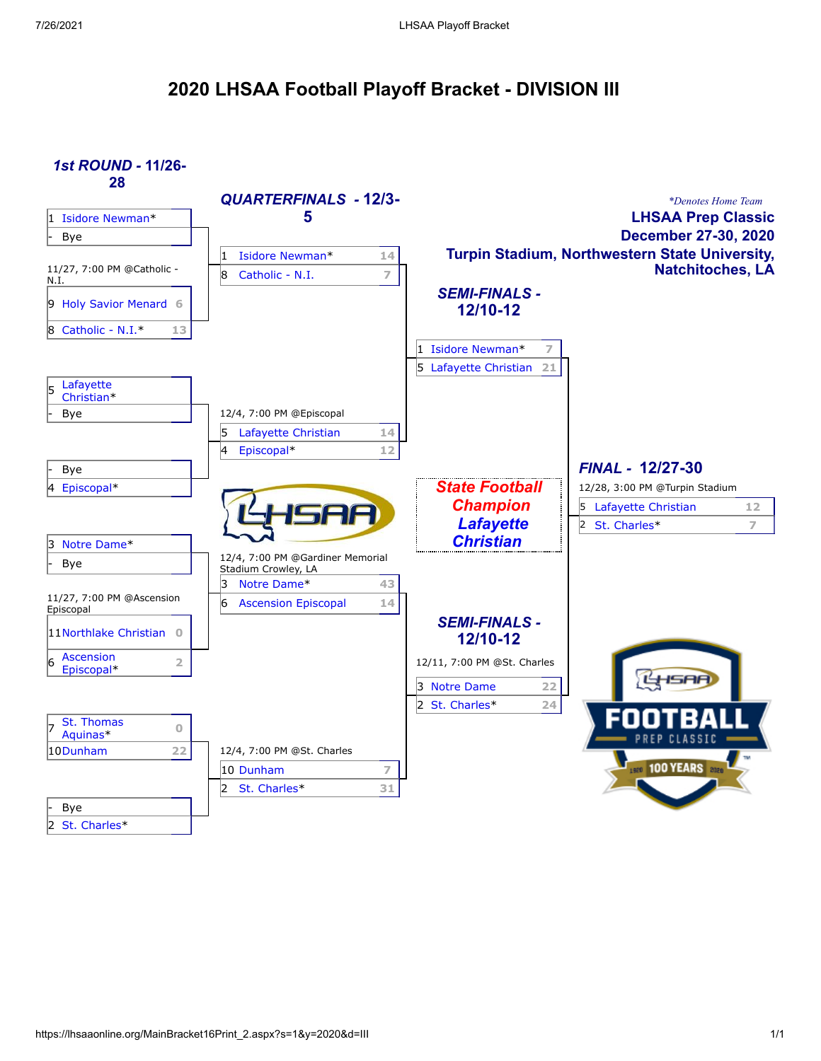## **2020 LHSAA Football Playoff Bracket - DIVISION III**

*1st ROUND -* **11/26- 28**